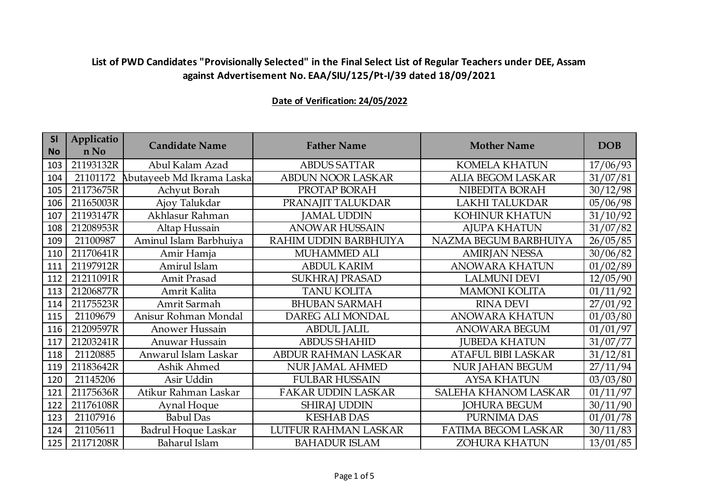| <b>SI</b><br><b>No</b> | Applicatio<br>n No | <b>Candidate Name</b>     | <b>Father Name</b>        | <b>Mother Name</b>          | <b>DOB</b> |
|------------------------|--------------------|---------------------------|---------------------------|-----------------------------|------------|
| 103                    | 21193132R          | Abul Kalam Azad           | <b>ABDUS SATTAR</b>       | <b>KOMELA KHATUN</b>        | 17/06/93   |
| 104                    | 21101172           | Abutayeeb Md Ikrama Laska | <b>ABDUN NOOR LASKAR</b>  | <b>ALIA BEGOM LASKAR</b>    | 31/07/81   |
| 105                    | 21173675R          | Achyut Borah              | PROTAP BORAH              | NIBEDITA BORAH              | 30/12/98   |
| 106                    | 21165003R          | Ajoy Talukdar             | PRANAJIT TALUKDAR         | LAKHI TALUKDAR              | 05/06/98   |
| 107                    | 21193147R          | Akhlasur Rahman           | <b>JAMAL UDDIN</b>        | <b>KOHINUR KHATUN</b>       | 31/10/92   |
| 108                    | 21208953R          | Altap Hussain             | <b>ANOWAR HUSSAIN</b>     | <b>AJUPA KHATUN</b>         | 31/07/82   |
| 109                    | 21100987           | Aminul Islam Barbhuiya    | RAHIM UDDIN BARBHUIYA     | NAZMA BEGUM BARBHUIYA       | 26/05/85   |
| 110                    | 21170641R          | Amir Hamja                | MUHAMMED ALI              | <b>AMIRJAN NESSA</b>        | 30/06/82   |
| 111                    | 21197912R          | Amirul Islam              | <b>ABDUL KARIM</b>        | <b>ANOWARA KHATUN</b>       | 01/02/89   |
| 112                    | 21211091R          | Amit Prasad               | SUKHRAJ PRASAD            | <b>LALMUNI DEVI</b>         | 12/05/90   |
| 113                    | 21206877R          | Amrit Kalita              | <b>TANU KOLITA</b>        | <b>MAMONI KOLITA</b>        | 01/11/92   |
| 114                    | 21175523R          | Amrit Sarmah              | <b>BHUBAN SARMAH</b>      | <b>RINA DEVI</b>            | 27/01/92   |
| 115                    | 21109679           | Anisur Rohman Mondal      | DAREG ALI MONDAL          | <b>ANOWARA KHATUN</b>       | 01/03/80   |
| 116                    | 21209597R          | Anower Hussain            | <b>ABDUL JALIL</b>        | ANOWARA BEGUM               | 01/01/97   |
| 117                    | 21203241R          | Anuwar Hussain            | <b>ABDUS SHAHID</b>       | <b>JUBEDA KHATUN</b>        | 31/07/77   |
| 118                    | 21120885           | Anwarul Islam Laskar      | ABDUR RAHMAN LASKAR       | <b>ATAFUL BIBI LASKAR</b>   | 31/12/81   |
| 119                    | 21183642R          | Ashik Ahmed               | <b>NUR JAMAL AHMED</b>    | <b>NUR JAHAN BEGUM</b>      | 27/11/94   |
| 120                    | 21145206           | Asir Uddin                | <b>FULBAR HUSSAIN</b>     | <b>AYSA KHATUN</b>          | 03/03/80   |
| 121                    | 21175636R          | Atikur Rahman Laskar      | <b>FAKAR UDDIN LASKAR</b> | <b>SALEHA KHANOM LASKAR</b> | 01/11/97   |
| 122                    | 21176108R          | Aynal Hoque               | <b>SHIRAJ UDDIN</b>       | <b>JOHURA BEGUM</b>         | 30/11/90   |
| 123                    | 21107916           | <b>Babul Das</b>          | <b>KESHAB DAS</b>         | PURNIMA DAS                 | 01/01/78   |
| 124                    | 21105611           | Badrul Hoque Laskar       | LUTFUR RAHMAN LASKAR      | FATIMA BEGOM LASKAR         | 30/11/83   |
| 125                    | 21171208R          | Baharul Islam             | <b>BAHADUR ISLAM</b>      | <b>ZOHURA KHATUN</b>        | 13/01/85   |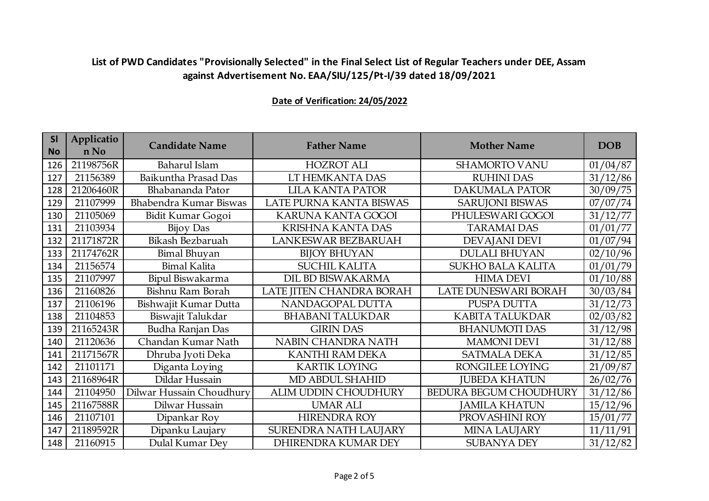| <b>SI</b><br><b>No</b> | Applicatio<br>n No | <b>Candidate Name</b>    | <b>Father Name</b>        | <b>Mother Name</b>            | <b>DOB</b> |
|------------------------|--------------------|--------------------------|---------------------------|-------------------------------|------------|
| 126                    | 21198756R          | Baharul Islam            | <b>HOZROT ALI</b>         | <b>SHAMORTO VANU</b>          | 01/04/87   |
| 127                    | 21156389           | Baikuntha Prasad Das     | LT HEMKANTA DAS           | <b>RUHINI DAS</b>             | 31/12/86   |
| 128                    | 21206460R          | Bhabananda Pator         | <b>LILA KANTA PATOR</b>   | <b>DAKUMALA PATOR</b>         | 30/09/75   |
| 129                    | 21107999           | Bhabendra Kumar Biswas   | LATE PURNA KANTA BISWAS   | <b>SARUJONI BISWAS</b>        | 07/07/74   |
| 130                    | 21105069           | Bidit Kumar Gogoi        | <b>KARUNA KANTA GOGOI</b> | PHULESWARI GOGOI              | 31/12/77   |
| 131                    | 21103934           | Bijoy Das                | <b>KRISHNA KANTA DAS</b>  | <b>TARAMAI DAS</b>            | 01/01/77   |
| 132                    | 21171872R          | Bikash Bezbaruah         | LANKESWAR BEZBARUAH       | <b>DEVAJANI DEVI</b>          | 01/07/94   |
| 133                    | 21174762R          | <b>Bimal Bhuyan</b>      | <b>BIJOY BHUYAN</b>       | <b>DULALI BHUYAN</b>          | 02/10/96   |
| 134                    | 21156574           | <b>Bimal Kalita</b>      | <b>SUCHIL KALITA</b>      | <b>SUKHO BALA KALITA</b>      | 01/01/79   |
| 135                    | 21107997           | Bipul Biswakarma         | DIL BD BISWAKARMA         | <b>HIMA DEVI</b>              | 01/10/88   |
| 136                    | 21160826           | Bishnu Ram Borah         | LATE JITEN CHANDRA BORAH  | LATE DUNESWARI BORAH          | 30/03/84   |
| 137                    | 21106196           | Bishwajit Kumar Dutta    | NANDAGOPAL DUTTA          | PUSPA DUTTA                   | 31/12/73   |
| 138                    | 21104853           | Biswajit Talukdar        | <b>BHABANI TALUKDAR</b>   | <b>KABITA TALUKDAR</b>        | 02/03/82   |
| 139                    | 21165243R          | <b>Budha Ranjan Das</b>  | <b>GIRIN DAS</b>          | <b>BHANUMOTI DAS</b>          | 31/12/98   |
| 140                    | 21120636           | Chandan Kumar Nath       | NABIN CHANDRA NATH        | <b>MAMONI DEVI</b>            | 31/12/88   |
| 141                    | 21171567R          | Dhruba Jyoti Deka        | <b>KANTHI RAM DEKA</b>    | <b>SATMALA DEKA</b>           | 31/12/85   |
| 142                    | 21101171           | Diganta Loying           | <b>KARTIK LOYING</b>      | RONGILEE LOYING               | 21/09/87   |
| 143                    | 21168964R          | Dildar Hussain           | MD ABDUL SHAHID           | <b>JUBEDA KHATUN</b>          | 26/02/76   |
| 144                    | 21104950           | Dilwar Hussain Choudhury | ALIM UDDIN CHOUDHURY      | <b>BEDURA BEGUM CHOUDHURY</b> | 31/12/86   |
| 145                    | 21167588R          | Dilwar Hussain           | <b>UMAR ALI</b>           | <b>JAMILA KHATUN</b>          | 15/12/96   |
| 146                    | 21107101           | Dipankar Roy             | <b>HIRENDRA ROY</b>       | PROVASHINI ROY                | 15/01/77   |
| 147                    | 21189592R          | Dipanku Laujary          | SURENDRA NATH LAUJARY     | <b>MINA LAUJARY</b>           | 11/11/91   |
| 148                    | 21160915           | Dulal Kumar Dev          | DHIRENDRA KUMAR DEY       | <b>SUBANYA DEY</b>            | 31/12/82   |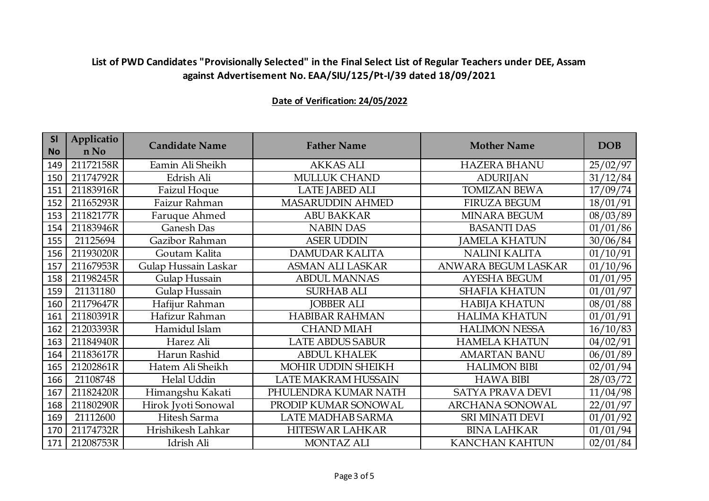| <b>SI</b><br><b>No</b> | Applicatio<br>n No | <b>Candidate Name</b> | <b>Father Name</b>         | <b>Mother Name</b>      | <b>DOB</b> |
|------------------------|--------------------|-----------------------|----------------------------|-------------------------|------------|
| 149                    | 21172158R          | Eamin Ali Sheikh      | <b>AKKAS ALI</b>           | <b>HAZERA BHANU</b>     | 25/02/97   |
| 150                    | 21174792R          | Edrish Ali            | <b>MULLUK CHAND</b>        | <b>ADURIJAN</b>         | 31/12/84   |
| 151                    | 21183916R          | <b>Faizul Hoque</b>   | <b>LATE JABED ALI</b>      | <b>TOMIZAN BEWA</b>     | 17/09/74   |
| 152                    | 21165293R          | Faizur Rahman         | <b>MASARUDDIN AHMED</b>    | <b>FIRUZA BEGUM</b>     | 18/01/91   |
| 153                    | 21182177R          | Faruque Ahmed         | <b>ABU BAKKAR</b>          | MINARA BEGUM            | 08/03/89   |
| 154                    | 21183946R          | Ganesh Das            | <b>NABIN DAS</b>           | <b>BASANTI DAS</b>      | 01/01/86   |
| 155                    | 21125694           | Gazibor Rahman        | <b>ASER UDDIN</b>          | <b>JAMELA KHATUN</b>    | 30/06/84   |
| 156                    | 21193020R          | Goutam Kalita         | DAMUDAR KALITA             | <b>NALINI KALITA</b>    | 01/10/91   |
| 157                    | 21167953R          | Gulap Hussain Laskar  | <b>ASMAN ALI LASKAR</b>    | ANWARA BEGUM LASKAR     | 01/10/96   |
| 158                    | 21198245R          | Gulap Hussain         | <b>ABDUL MANNAS</b>        | <b>AYESHA BEGUM</b>     | 01/01/95   |
| 159                    | 21131180           | Gulap Hussain         | <b>SURHAB ALI</b>          | <b>SHAFIA KHATUN</b>    | 01/01/97   |
| 160                    | 21179647R          | Hafijur Rahman        | <b>JOBBER ALI</b>          | <b>HABIJA KHATUN</b>    | 08/01/88   |
| 161                    | 21180391R          | Hafizur Rahman        | <b>HABIBAR RAHMAN</b>      | <b>HALIMA KHATUN</b>    | 01/01/91   |
| 162                    | 21203393R          | Hamidul Islam         | <b>CHAND MIAH</b>          | <b>HALIMON NESSA</b>    | 16/10/83   |
| 163                    | 21184940R          | Harez Ali             | <b>LATE ABDUS SABUR</b>    | <b>HAMELA KHATUN</b>    | 04/02/91   |
| 164                    | 21183617R          | Harun Rashid          | <b>ABDUL KHALEK</b>        | <b>AMARTAN BANU</b>     | 06/01/89   |
| 165                    | 21202861R          | Hatem Ali Sheikh      | MOHIR UDDIN SHEIKH         | <b>HALIMON BIBI</b>     | 02/01/94   |
| 166                    | 21108748           | Helal Uddin           | <b>LATE MAKRAM HUSSAIN</b> | <b>HAWA BIBI</b>        | 28/03/72   |
| 167                    | 21182420R          | Himangshu Kakati      | PHULENDRA KUMAR NATH       | <b>SATYA PRAVA DEVI</b> | 11/04/98   |
| 168                    | 21180290R          | Hirok Jyoti Sonowal   | PRODIP KUMAR SONOWAL       | <b>ARCHANA SONOWAL</b>  | 22/01/97   |
| 169                    | 21112600           | Hitesh Sarma          | LATE MADHAB SARMA          | <b>SRI MINATI DEVI</b>  | 01/01/92   |
| 170                    | 21174732R          | Hrishikesh Lahkar     | <b>HITESWAR LAHKAR</b>     | <b>BINA LAHKAR</b>      | 01/01/94   |
| 171                    | 21208753R          | Idrish Ali            | <b>MONTAZ ALI</b>          | <b>KANCHAN KAHTUN</b>   | 02/01/84   |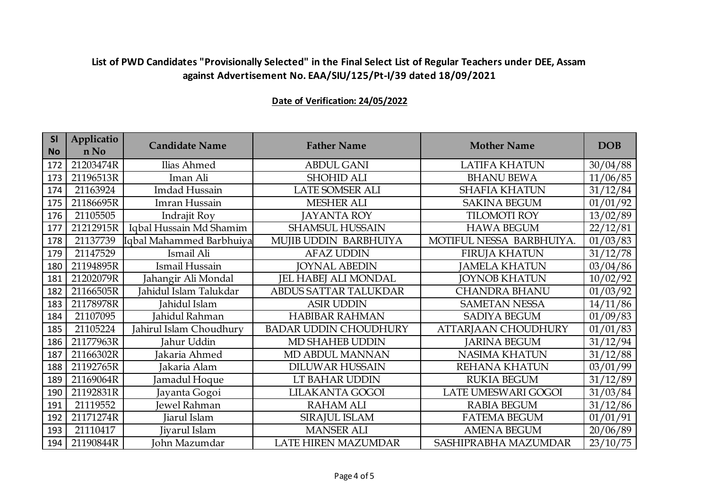| <b>SI</b><br><b>No</b> | Applicatio<br>n No | <b>Candidate Name</b>    | <b>Father Name</b>           | <b>Mother Name</b>         | <b>DOB</b> |
|------------------------|--------------------|--------------------------|------------------------------|----------------------------|------------|
| 172                    | 21203474R          | Ilias Ahmed              | <b>ABDUL GANI</b>            | <b>LATIFA KHATUN</b>       | 30/04/88   |
| 173                    | 21196513R          | Iman Ali                 | <b>SHOHID ALI</b>            | <b>BHANU BEWA</b>          | 11/06/85   |
| 174                    | 21163924           | Imdad Hussain            | <b>LATE SOMSER ALI</b>       | <b>SHAFIA KHATUN</b>       | 31/12/84   |
| 175                    | 21186695R          | Imran Hussain            | <b>MESHER ALI</b>            | <b>SAKINA BEGUM</b>        | 01/01/92   |
| 176                    | 21105505           | Indrajit Roy             | <b>JAYANTA ROY</b>           | <b>TILOMOTI ROY</b>        | 13/02/89   |
| 177                    | 21212915R          | Iqbal Hussain Md Shamim  | <b>SHAMSUL HUSSAIN</b>       | <b>HAWA BEGUM</b>          | 22/12/81   |
| 178                    | 21137739           | Iqbal Mahammed Barbhuiya | MUJIB UDDIN BARBHUIYA        | MOTIFUL NESSA BARBHUIYA.   | 01/03/83   |
| 179                    | 21147529           | Ismail Ali               | <b>AFAZ UDDIN</b>            | <b>FIRUJA KHATUN</b>       | 31/12/78   |
| 180                    | 21194895R          | Ismail Hussain           | <b>JOYNAL ABEDIN</b>         | <b>JAMELA KHATUN</b>       | 03/04/86   |
| 181                    | 21202079R          | Jahangir Ali Mondal      | <b>JEL HABEJ ALI MONDAL</b>  | <b>JOYNOB KHATUN</b>       | 10/02/92   |
| 182                    | 21166505R          | Jahidul Islam Talukdar   | ABDUS SATTAR TALUKDAR        | <b>CHANDRA BHANU</b>       | 01/03/92   |
| 183                    | 21178978R          | Jahidul Islam            | <b>ASIR UDDIN</b>            | <b>SAMETAN NESSA</b>       | 14/11/86   |
| 184                    | 21107095           | Jahidul Rahman           | <b>HABIBAR RAHMAN</b>        | <b>SADIYA BEGUM</b>        | 01/09/83   |
| 185                    | 21105224           | Jahirul Islam Choudhury  | <b>BADAR UDDIN CHOUDHURY</b> | <b>ATTARJAAN CHOUDHURY</b> | 01/01/83   |
| 186                    | 21177963R          | Jahur Uddin              | MD SHAHEB UDDIN              | <b>JARINA BEGUM</b>        | 31/12/94   |
| 187                    | 21166302R          | Jakaria Ahmed            | MD ABDUL MANNAN              | <b>NASIMA KHATUN</b>       | 31/12/88   |
| 188                    | 21192765R          | Jakaria Alam             | <b>DILUWAR HUSSAIN</b>       | REHANA KHATUN              | 03/01/99   |
| 189                    | 21169064R          | amadul Hoque             | LT BAHAR UDDIN               | <b>RUKIA BEGUM</b>         | 31/12/89   |
| 190                    | 21192831R          | Jayanta Gogoi            | LILAKANTA GOGOI              | LATE UMESWARI GOGOI        | 31/03/84   |
| 191                    | 21119552           | Jewel Rahman             | <b>RAHAM ALI</b>             | <b>RABIA BEGUM</b>         | 31/12/86   |
| 192                    | 21171274R          | Jiarul Islam             | SIRAJUL ISLAM                | <b>FATEMA BEGUM</b>        | 01/01/91   |
| 193                    | 21110417           | Jiyarul Islam            | <b>MANSER ALI</b>            | <b>AMENA BEGUM</b>         | 20/06/89   |
| 194                    | 21190844R          | John Mazumdar            | <b>LATE HIREN MAZUMDAR</b>   | SASHIPRABHA MAZUMDAR       | 23/10/75   |